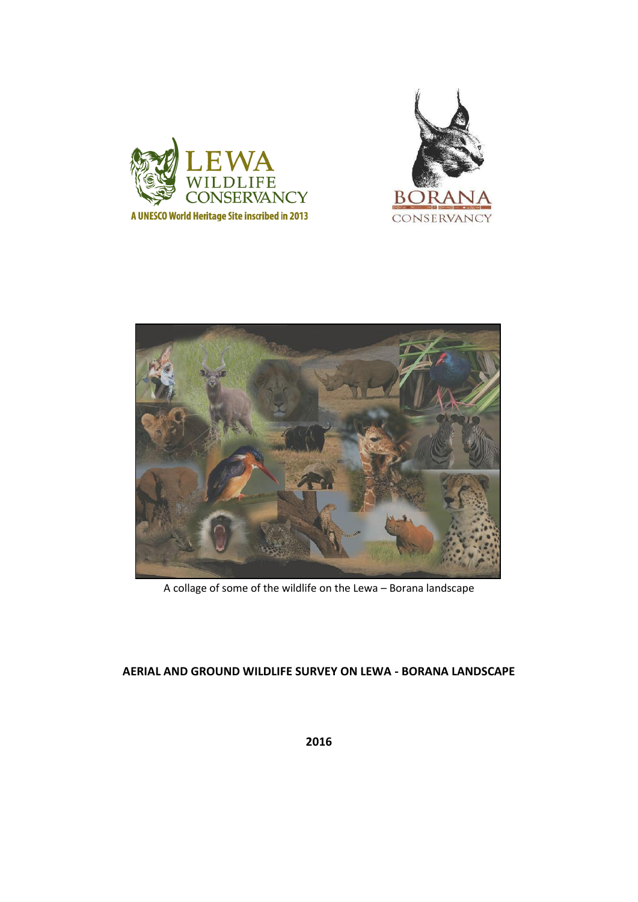





A collage of some of the wildlife on the Lewa – Borana landscape

# **AERIAL AND GROUND WILDLIFE SURVEY ON LEWA - BORANA LANDSCAPE**

**2016**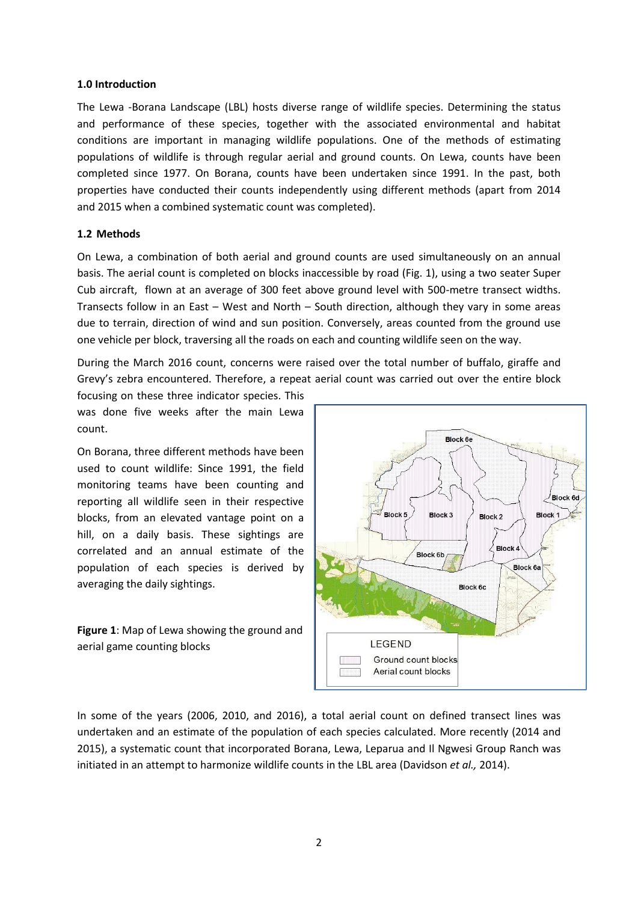#### **1.0 Introduction**

The Lewa -Borana Landscape (LBL) hosts diverse range of wildlife species. Determining the status and performance of these species, together with the associated environmental and habitat conditions are important in managing wildlife populations. One of the methods of estimating populations of wildlife is through regular aerial and ground counts. On Lewa, counts have been completed since 1977. On Borana, counts have been undertaken since 1991. In the past, both properties have conducted their counts independently using different methods (apart from 2014 and 2015 when a combined systematic count was completed).

#### **1.2 Methods**

On Lewa, a combination of both aerial and ground counts are used simultaneously on an annual basis. The aerial count is completed on blocks inaccessible by road (Fig. 1), using a two seater Super Cub aircraft, flown at an average of 300 feet above ground level with 500-metre transect widths. Transects follow in an East – West and North – South direction, although they vary in some areas due to terrain, direction of wind and sun position. Conversely, areas counted from the ground use one vehicle per block, traversing all the roads on each and counting wildlife seen on the way.

During the March 2016 count, concerns were raised over the total number of buffalo, giraffe and Grevy's zebra encountered. Therefore, a repeat aerial count was carried out over the entire block

focusing on these three indicator species. This was done five weeks after the main Lewa count.

On Borana, three different methods have been used to count wildlife: Since 1991, the field monitoring teams have been counting and reporting all wildlife seen in their respective blocks, from an elevated vantage point on a hill, on a daily basis. These sightings are correlated and an annual estimate of the population of each species is derived by averaging the daily sightings.

**Figure 1**: Map of Lewa showing the ground and aerial game counting blocks



In some of the years (2006, 2010, and 2016), a total aerial count on defined transect lines was undertaken and an estimate of the population of each species calculated. More recently (2014 and 2015), a systematic count that incorporated Borana, Lewa, Leparua and Il Ngwesi Group Ranch was initiated in an attempt to harmonize wildlife counts in the LBL area (Davidson *et al.,* 2014).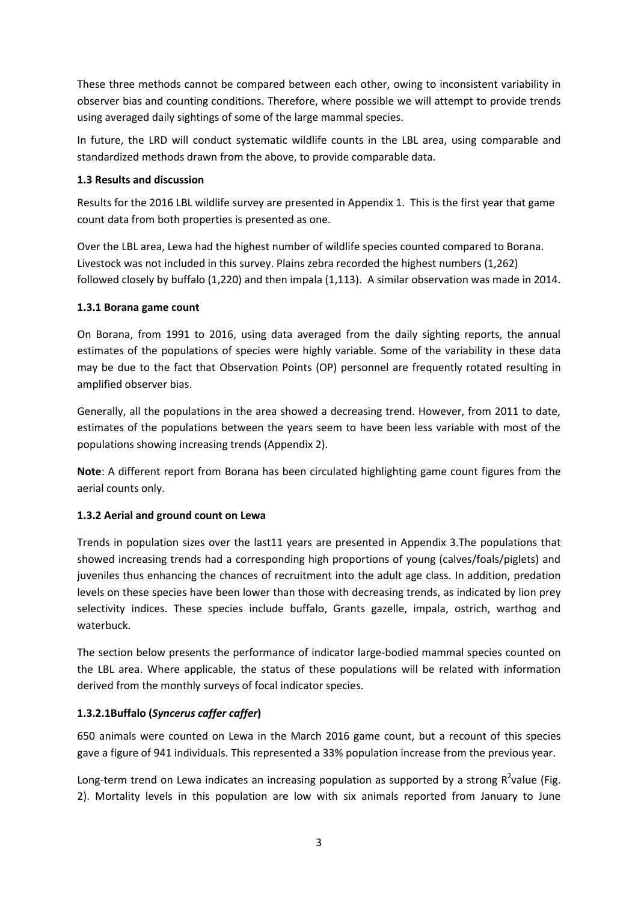These three methods cannot be compared between each other, owing to inconsistent variability in observer bias and counting conditions. Therefore, where possible we will attempt to provide trends using averaged daily sightings of some of the large mammal species.

In future, the LRD will conduct systematic wildlife counts in the LBL area, using comparable and standardized methods drawn from the above, to provide comparable data.

## **1.3 Results and discussion**

Results for the 2016 LBL wildlife survey are presented in Appendix 1. This is the first year that game count data from both properties is presented as one.

Over the LBL area, Lewa had the highest number of wildlife species counted compared to Borana. Livestock was not included in this survey. Plains zebra recorded the highest numbers (1,262) followed closely by buffalo (1,220) and then impala (1,113). A similar observation was made in 2014.

## **1.3.1 Borana game count**

On Borana, from 1991 to 2016, using data averaged from the daily sighting reports, the annual estimates of the populations of species were highly variable. Some of the variability in these data may be due to the fact that Observation Points (OP) personnel are frequently rotated resulting in amplified observer bias.

Generally, all the populations in the area showed a decreasing trend. However, from 2011 to date, estimates of the populations between the years seem to have been less variable with most of the populations showing increasing trends (Appendix 2).

**Note**: A different report from Borana has been circulated highlighting game count figures from the aerial counts only.

# **1.3.2 Aerial and ground count on Lewa**

Trends in population sizes over the last11 years are presented in Appendix 3.The populations that showed increasing trends had a corresponding high proportions of young (calves/foals/piglets) and juveniles thus enhancing the chances of recruitment into the adult age class. In addition, predation levels on these species have been lower than those with decreasing trends, as indicated by lion prey selectivity indices. These species include buffalo, Grants gazelle, impala, ostrich, warthog and waterbuck.

The section below presents the performance of indicator large-bodied mammal species counted on the LBL area. Where applicable, the status of these populations will be related with information derived from the monthly surveys of focal indicator species.

# **1.3.2.1Buffalo (***Syncerus caffer caffer***)**

650 animals were counted on Lewa in the March 2016 game count, but a recount of this species gave a figure of 941 individuals. This represented a 33% population increase from the previous year.

Long-term trend on Lewa indicates an increasing population as supported by a strong  $R^2$ value (Fig. 2). Mortality levels in this population are low with six animals reported from January to June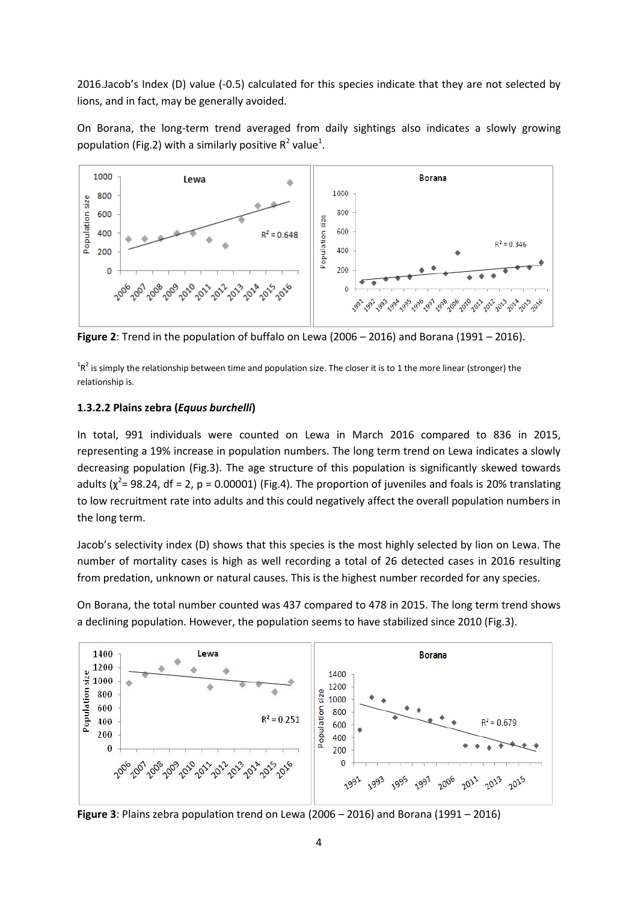2016.Jacob's Index (D) value (-0.5) calculated for this species indicate that they are not selected by lions, and in fact, may be generally avoided.

On Borana, the long-term trend averaged from daily sightings also indicates a slowly growing population (Fig.2) with a similarly positive  $R^2$  value<sup>1</sup>.



**Figure 2**: Trend in the population of buffalo on Lewa (2006 – 2016) and Borana (1991 – 2016).

 ${}^{1}R^{2}$  is simply the relationship between time and population size. The closer it is to 1 the more linear (stronger) the relationship is.

### **1.3.2.2 Plains zebra (***Equus burchelli***)**

In total, 991 individuals were counted on Lewa in March 2016 compared to 836 in 2015, representing a 19% increase in population numbers. The long term trend on Lewa indicates a slowly decreasing population (Fig.3). The age structure of this population is significantly skewed towards adults ( $\chi^2$ = 98.24, df = 2, p = 0.00001) (Fig.4). The proportion of juveniles and foals is 20% translating to low recruitment rate into adults and this could negatively affect the overall population numbers in the long term.

Jacob's selectivity index (D) shows that this species is the most highly selected by lion on Lewa. The number of mortality cases is high as well recording a total of 26 detected cases in 2016 resulting from predation, unknown or natural causes. This is the highest number recorded for any species.

On Borana, the total number counted was 437 compared to 478 in 2015. The long term trend shows a declining population. However, the population seems to have stabilized since 2010 (Fig.3).



**Figure 3**: Plains zebra population trend on Lewa (2006 – 2016) and Borana (1991 – 2016)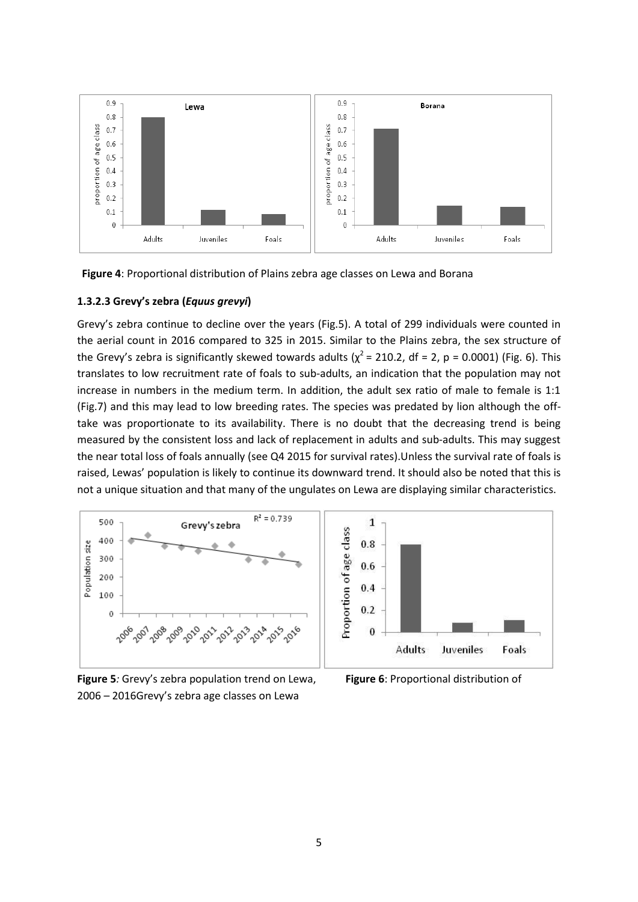

**Figure 4**: Proportional distribution of Plains zebra age classes on Lewa and Borana

#### **1.3.2.3 Grevy's zebra (***Equus grevyi***)**

Grevy's zebra continue to decline over the years (Fig.5). A total of 299 individuals were counted in the aerial count in 2016 compared to 325 in 2015. Similar to the Plains zebra, the sex structure of the Grevy's zebra is significantly skewed towards adults ( $\chi^2$  = 210.2, df = 2, p = 0.0001) (Fig. 6). This translates to low recruitment rate of foals to sub-adults, an indication that the population may not increase in numbers in the medium term. In addition, the adult sex ratio of male to female is 1:1 (Fig.7) and this may lead to low breeding rates. The species was predated by lion although the offtake was proportionate to its availability. There is no doubt that the decreasing trend is being measured by the consistent loss and lack of replacement in adults and sub-adults. This may suggest the near total loss of foals annually (see Q4 2015 for survival rates).Unless the survival rate of foals is raised, Lewas' population is likely to continue its downward trend. It should also be noted that this is not a unique situation and that many of the ungulates on Lewa are displaying similar characteristics.



**Figure 5***:* Grevy's zebra population trend on Lewa, **Figure 6**: Proportional distribution of 2006 – 2016Grevy's zebra age classes on Lewa

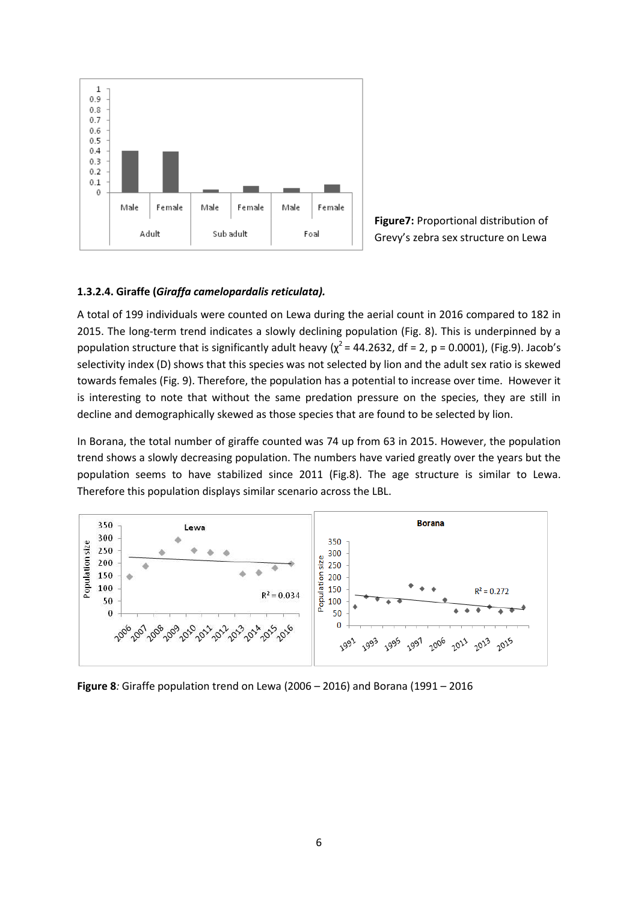

**Figure7:** Proportional distribution of Grevy's zebra sex structure on Lewa

#### **1.3.2.4. Giraffe (***Giraffa camelopardalis reticulata).*

A total of 199 individuals were counted on Lewa during the aerial count in 2016 compared to 182 in 2015. The long-term trend indicates a slowly declining population (Fig. 8). This is underpinned by a population structure that is significantly adult heavy ( $\chi^2$  = 44.2632, df = 2, p = 0.0001), (Fig.9). Jacob's selectivity index (D) shows that this species was not selected by lion and the adult sex ratio is skewed towards females (Fig. 9). Therefore, the population has a potential to increase over time. However it is interesting to note that without the same predation pressure on the species, they are still in decline and demographically skewed as those species that are found to be selected by lion.

In Borana, the total number of giraffe counted was 74 up from 63 in 2015. However, the population trend shows a slowly decreasing population. The numbers have varied greatly over the years but the population seems to have stabilized since 2011 (Fig.8). The age structure is similar to Lewa. Therefore this population displays similar scenario across the LBL.



**Figure 8***:* Giraffe population trend on Lewa (2006 – 2016) and Borana (1991 – 2016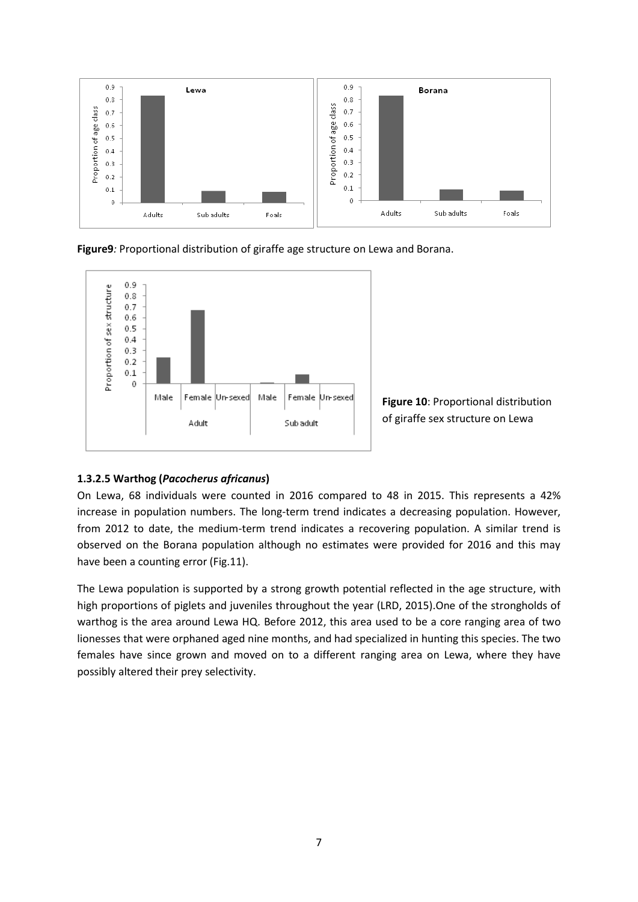

**Figure9***:* Proportional distribution of giraffe age structure on Lewa and Borana.



**Figure 10**: Proportional distribution of giraffe sex structure on Lewa

## **1.3.2.5 Warthog (***Pacocherus africanus***)**

On Lewa, 68 individuals were counted in 2016 compared to 48 in 2015. This represents a 42% increase in population numbers. The long-term trend indicates a decreasing population. However, from 2012 to date, the medium-term trend indicates a recovering population. A similar trend is observed on the Borana population although no estimates were provided for 2016 and this may have been a counting error (Fig.11).

The Lewa population is supported by a strong growth potential reflected in the age structure, with high proportions of piglets and juveniles throughout the year (LRD, 2015).One of the strongholds of warthog is the area around Lewa HQ. Before 2012, this area used to be a core ranging area of two lionesses that were orphaned aged nine months, and had specialized in hunting this species. The two females have since grown and moved on to a different ranging area on Lewa, where they have possibly altered their prey selectivity.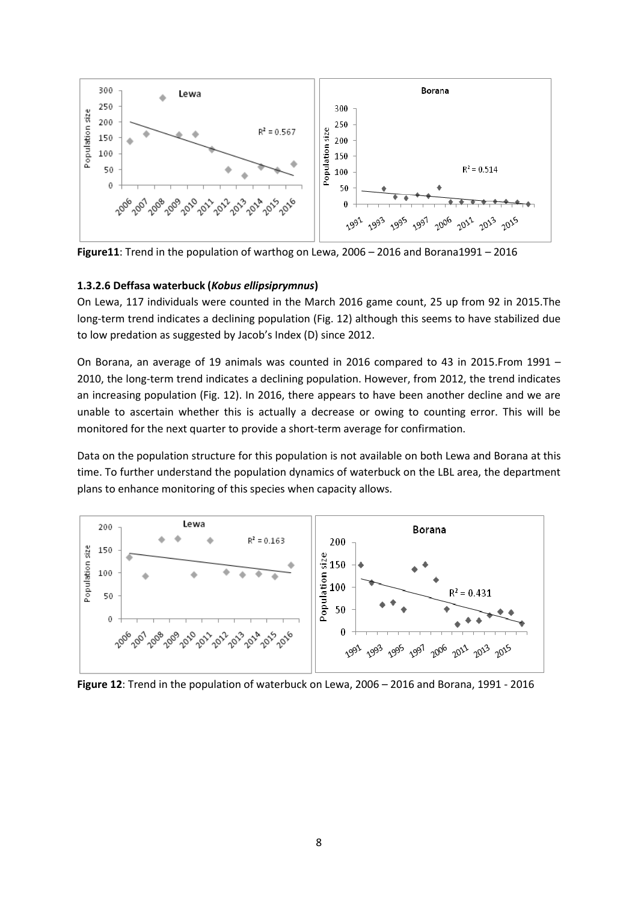

**Figure11**: Trend in the population of warthog on Lewa, 2006 – 2016 and Borana1991 – 2016

### **1.3.2.6 Deffasa waterbuck (***Kobus ellipsiprymnus***)**

On Lewa, 117 individuals were counted in the March 2016 game count, 25 up from 92 in 2015.The long-term trend indicates a declining population (Fig. 12) although this seems to have stabilized due to low predation as suggested by Jacob's Index (D) since 2012.

On Borana, an average of 19 animals was counted in 2016 compared to 43 in 2015.From 1991 – 2010, the long-term trend indicates a declining population. However, from 2012, the trend indicates an increasing population (Fig. 12). In 2016, there appears to have been another decline and we are unable to ascertain whether this is actually a decrease or owing to counting error. This will be monitored for the next quarter to provide a short-term average for confirmation.

Data on the population structure for this population is not available on both Lewa and Borana at this time. To further understand the population dynamics of waterbuck on the LBL area, the department plans to enhance monitoring of this species when capacity allows.



**Figure 12**: Trend in the population of waterbuck on Lewa, 2006 – 2016 and Borana, 1991 - 2016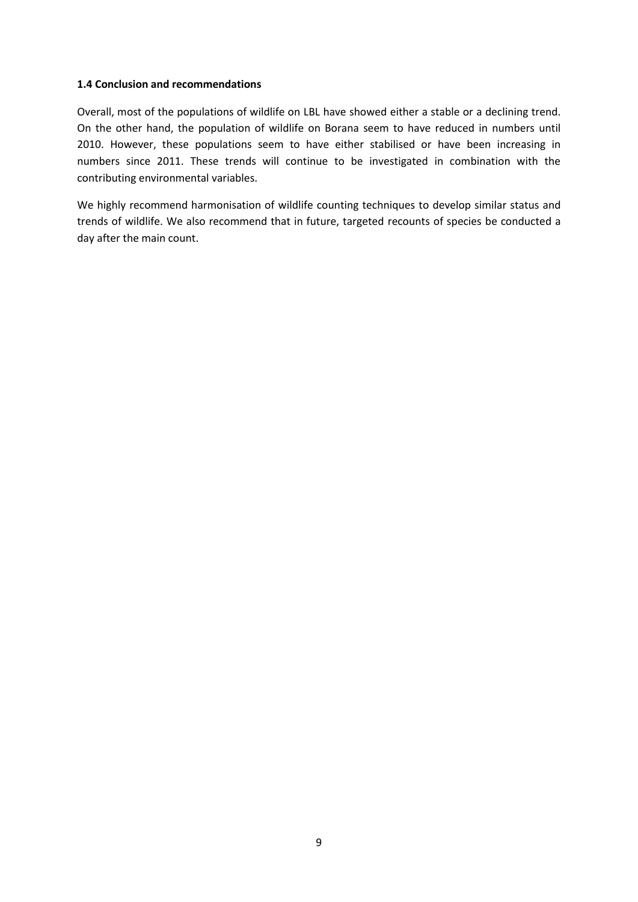#### **1.4 Conclusion and recommendations**

Overall, most of the populations of wildlife on LBL have showed either a stable or a declining trend. On the other hand, the population of wildlife on Borana seem to have reduced in numbers until 2010. However, these populations seem to have either stabilised or have been increasing in numbers since 2011. These trends will continue to be investigated in combination with the contributing environmental variables.

We highly recommend harmonisation of wildlife counting techniques to develop similar status and trends of wildlife. We also recommend that in future, targeted recounts of species be conducted a day after the main count.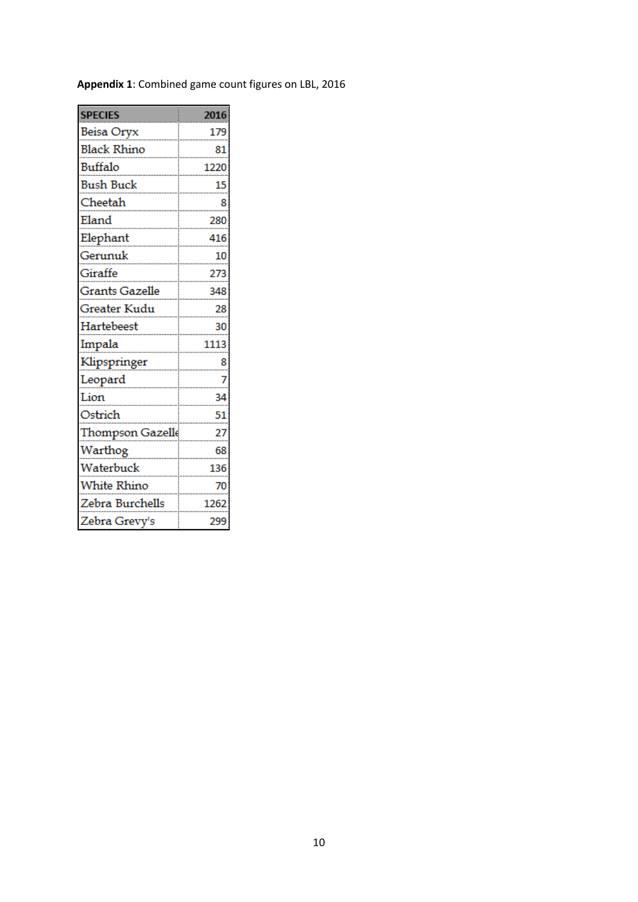| <b>SPECIES</b>        | 2016 |
|-----------------------|------|
| Beisa Oryx            | 179  |
| <b>Black Rhino</b>    | 81   |
| Buffalo               | 1220 |
| <b>Bush Buck</b>      | 15   |
| Cheetah               | 8    |
| Eland                 | 280  |
| Elephant              | 416  |
| Gerunuk               | 10   |
| Giraffe               | 273  |
| <b>Grants Gazelle</b> | 348  |
| Greater Kudu          | 28   |
| Hartebeest            | 30   |
| Impala                | 1113 |
| Klipspringer          | 8    |
| Leopard               | 7    |
| Lion                  | 34   |
| Ostrich               | 51   |
| Thompson Gazelle      | 27   |
| Warthog               | 68   |
| Waterbuck             | 136  |
| White Rhino           | 70   |
| Zebra Burchells       | 1262 |
| Zebra Grevy's         | 299  |

# **Appendix 1**: Combined game count figures on LBL, 2016